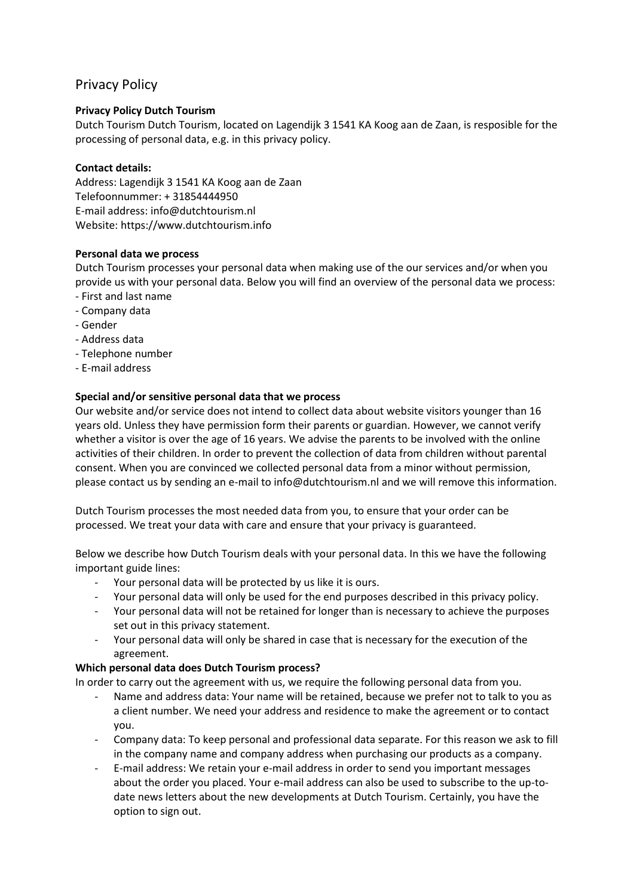# Privacy Policy

# **Privacy Policy Dutch Tourism**

Dutch Tourism Dutch Tourism, located on Lagendijk 3 1541 KA Koog aan de Zaan, is resposible for the processing of personal data, e.g. in this privacy policy.

## **Contact details:**

Address: Lagendijk 3 1541 KA Koog aan de Zaan Telefoonnummer: + 31854444950 E-mail address: info@dutchtourism.nl Website: https://www.dutchtourism.info

## **Personal data we process**

Dutch Tourism processes your personal data when making use of the our services and/or when you provide us with your personal data. Below you will find an overview of the personal data we process: - First and last name

- Company data
- Gender
- Address data
- Telephone number
- E-mail address

# **Special and/or sensitive personal data that we process**

Our website and/or service does not intend to collect data about website visitors younger than 16 years old. Unless they have permission form their parents or guardian. However, we cannot verify whether a visitor is over the age of 16 years. We advise the parents to be involved with the online activities of their children. In order to prevent the collection of data from children without parental consent. When you are convinced we collected personal data from a minor without permission, please contact us by sending an e-mail to info@dutchtourism.nl and we will remove this information.

Dutch Tourism processes the most needed data from you, to ensure that your order can be processed. We treat your data with care and ensure that your privacy is guaranteed.

Below we describe how Dutch Tourism deals with your personal data. In this we have the following important guide lines:

- Your personal data will be protected by us like it is ours.
- Your personal data will only be used for the end purposes described in this privacy policy.
- Your personal data will not be retained for longer than is necessary to achieve the purposes set out in this privacy statement.
- Your personal data will only be shared in case that is necessary for the execution of the agreement.

# **Which personal data does Dutch Tourism process?**

In order to carry out the agreement with us, we require the following personal data from you.

- Name and address data: Your name will be retained, because we prefer not to talk to you as a client number. We need your address and residence to make the agreement or to contact you.
- Company data: To keep personal and professional data separate. For this reason we ask to fill in the company name and company address when purchasing our products as a company.
- E-mail address: We retain your e-mail address in order to send you important messages about the order you placed. Your e-mail address can also be used to subscribe to the up-todate news letters about the new developments at Dutch Tourism. Certainly, you have the option to sign out.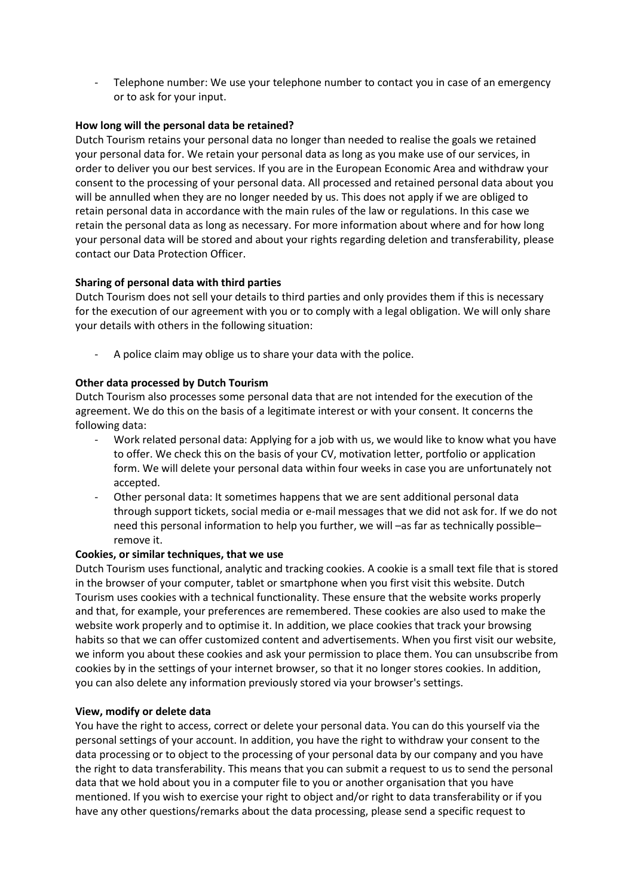- Telephone number: We use your telephone number to contact you in case of an emergency or to ask for your input.

### **How long will the personal data be retained?**

Dutch Tourism retains your personal data no longer than needed to realise the goals we retained your personal data for. We retain your personal data as long as you make use of our services, in order to deliver you our best services. If you are in the European Economic Area and withdraw your consent to the processing of your personal data. All processed and retained personal data about you will be annulled when they are no longer needed by us. This does not apply if we are obliged to retain personal data in accordance with the main rules of the law or regulations. In this case we retain the personal data as long as necessary. For more information about where and for how long your personal data will be stored and about your rights regarding deletion and transferability, please contact our Data Protection Officer.

### **Sharing of personal data with third parties**

Dutch Tourism does not sell your details to third parties and only provides them if this is necessary for the execution of our agreement with you or to comply with a legal obligation. We will only share your details with others in the following situation:

A police claim may oblige us to share your data with the police.

### **Other data processed by Dutch Tourism**

Dutch Tourism also processes some personal data that are not intended for the execution of the agreement. We do this on the basis of a legitimate interest or with your consent. It concerns the following data:

- Work related personal data: Applying for a job with us, we would like to know what you have to offer. We check this on the basis of your CV, motivation letter, portfolio or application form. We will delete your personal data within four weeks in case you are unfortunately not accepted.
- Other personal data: It sometimes happens that we are sent additional personal data through support tickets, social media or e-mail messages that we did not ask for. If we do not need this personal information to help you further, we will –as far as technically possible– remove it.

#### **Cookies, or similar techniques, that we use**

Dutch Tourism uses functional, analytic and tracking cookies. A cookie is a small text file that is stored in the browser of your computer, tablet or smartphone when you first visit this website. Dutch Tourism uses cookies with a technical functionality. These ensure that the website works properly and that, for example, your preferences are remembered. These cookies are also used to make the website work properly and to optimise it. In addition, we place cookies that track your browsing habits so that we can offer customized content and advertisements. When you first visit our website, we inform you about these cookies and ask your permission to place them. You can unsubscribe from cookies by in the settings of your internet browser, so that it no longer stores cookies. In addition, you can also delete any information previously stored via your browser's settings.

#### **View, modify or delete data**

You have the right to access, correct or delete your personal data. You can do this yourself via the personal settings of your account. In addition, you have the right to withdraw your consent to the data processing or to object to the processing of your personal data by our company and you have the right to data transferability. This means that you can submit a request to us to send the personal data that we hold about you in a computer file to you or another organisation that you have mentioned. If you wish to exercise your right to object and/or right to data transferability or if you have any other questions/remarks about the data processing, please send a specific request to